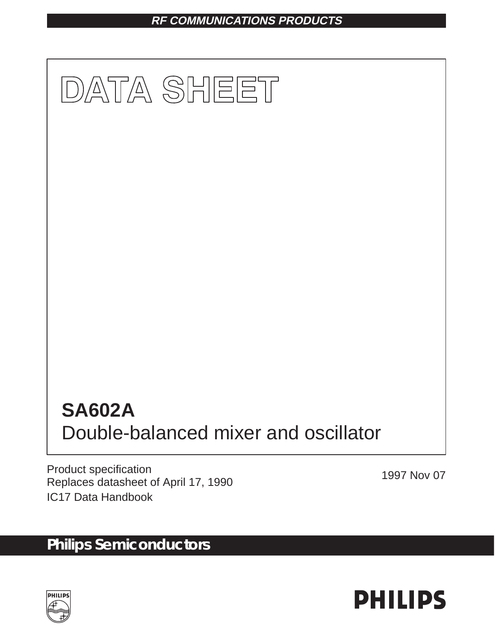## **RF COMMUNICATIONS PRODUCTS**



Product specification Product specification<br>Replaces datasheet of April 17, 1990 IC17 Data Handbook

# **Philips Semiconductors**



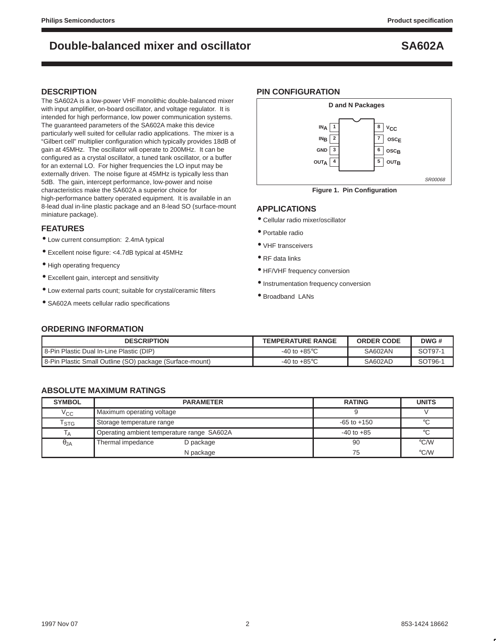### **DESCRIPTION**

The SA602A is a low-power VHF monolithic double-balanced mixer with input amplifier, on-board oscillator, and voltage regulator. It is intended for high performance, low power communication systems. The guaranteed parameters of the SA602A make this device particularly well suited for cellular radio applications. The mixer is a "Gilbert cell" multiplier configuration which typically provides 18dB of gain at 45MHz. The oscillator will operate to 200MHz. It can be configured as a crystal oscillator, a tuned tank oscillator, or a buffer for an external LO. For higher frequencies the LO input may be externally driven. The noise figure at 45MHz is typically less than 5dB. The gain, intercept performance, low-power and noise characteristics make the SA602A a superior choice for high-performance battery operated equipment. It is available in an 8-lead dual in-line plastic package and an 8-lead SO (surface-mount miniature package).

### **FEATURES**

- Low current consumption: 2.4mA typical
- Excellent noise figure: <4.7dB typical at 45MHz
- High operating frequency
- Excellent gain, intercept and sensitivity
- Low external parts count; suitable for crystal/ceramic filters
- SA602A meets cellular radio specifications

### **PIN CONFIGURATION**



## **APPLICATIONS**

- Cellular radio mixer/oscillator
- Portable radio
- VHF transceivers
- RF data links
- HF/VHF frequency conversion
- Instrumentation frequency conversion
- Broadband LANs

### **ORDERING INFORMATION**

| <b>DESCRIPTION</b>                                       | <b>TEMPERATURE RANGE</b>        | <b>ORDER CODE</b> | DWG#    |
|----------------------------------------------------------|---------------------------------|-------------------|---------|
| B-Pin Plastic Dual In-Line Plastic (DIP)                 | -40 to +85 $^{\circ}$ C         | <b>SA602AN</b>    | SOT97-1 |
| 8-Pin Plastic Small Outline (SO) package (Surface-mount) | -40 to +85 $\mathrm{^{\circ}C}$ | SA602AD           | SOT96-1 |

### **ABSOLUTE MAXIMUM RATINGS**

| <b>SYMBOL</b>               | <b>PARAMETER</b>                           | <b>RATING</b>   | <b>UNITS</b>  |
|-----------------------------|--------------------------------------------|-----------------|---------------|
| $\rm v_{cc}$                | Maximum operating voltage                  |                 |               |
| $\mathsf{T}_{\textsf{STG}}$ | Storage temperature range                  | $-65$ to $+150$ | $^{\circ}C$   |
| IΑ                          | Operating ambient temperature range SA602A | $-40$ to $+85$  | °C            |
| $\theta_{JA}$               | Thermal impedance<br>D package             | 90              | $\degree$ C/W |
|                             | N package                                  | 75              | $\degree$ C/W |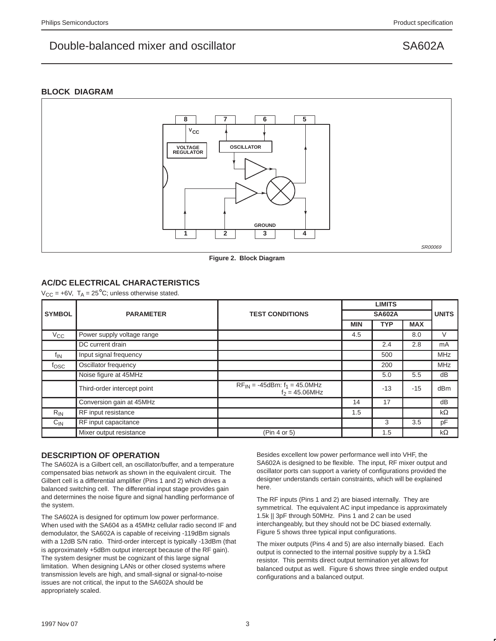### **BLOCK DIAGRAM**



**Figure 2. Block Diagram**

## **AC/DC ELECTRICAL CHARACTERISTICS**

 $V_{CC}$  = +6V,  $T_A$  = 25<sup>°</sup>C; unless otherwise stated.

|                  |                             |                                                            |            | <b>LIMITS</b> |              |            |
|------------------|-----------------------------|------------------------------------------------------------|------------|---------------|--------------|------------|
| <b>SYMBOL</b>    | <b>PARAMETER</b>            | <b>TEST CONDITIONS</b>                                     |            |               | <b>UNITS</b> |            |
|                  |                             |                                                            | <b>MIN</b> | <b>TYP</b>    | <b>MAX</b>   |            |
| $V_{\rm CC}$     | Power supply voltage range  |                                                            | 4.5        |               | 8.0          | V          |
|                  | DC current drain            |                                                            |            | 2.4           | 2.8          | mA         |
| <sup>t</sup> in  | Input signal frequency      |                                                            |            | 500           |              | <b>MHz</b> |
| f <sub>OSC</sub> | Oscillator frequency        |                                                            |            | 200           |              | <b>MHz</b> |
|                  | Noise figure at 45MHz       |                                                            |            | 5.0           | 5.5          | dB         |
|                  | Third-order intercept point | $RF_{IN} = -45$ dBm: $f_1 = 45.0$ MHz<br>$f_2 = 45.06$ MHz |            | $-13$         | $-15$        | dBm        |
|                  | Conversion gain at 45MHz    |                                                            | 14         | 17            |              | dB         |
| $R_{IN}$         | RF input resistance         |                                                            | 1.5        |               |              | $k\Omega$  |
| $C_{IN}$         | RF input capacitance        |                                                            |            | 3             | 3.5          | pF         |
|                  | Mixer output resistance     | (Pin 4 or 5)                                               |            | 1.5           |              | $k\Omega$  |

### **DESCRIPTION OF OPERATION**

The SA602A is a Gilbert cell, an oscillator/buffer, and a temperature compensated bias network as shown in the equivalent circuit. The Gilbert cell is a differential amplifier (Pins 1 and 2) which drives a balanced switching cell. The differential input stage provides gain and determines the noise figure and signal handling performance of the system.

The SA602A is designed for optimum low power performance. When used with the SA604 as a 45MHz cellular radio second IF and demodulator, the SA602A is capable of receiving -119dBm signals with a 12dB S/N ratio. Third-order intercept is typically -13dBm (that is approximately +5dBm output intercept because of the RF gain). The system designer must be cognizant of this large signal limitation. When designing LANs or other closed systems where transmission levels are high, and small-signal or signal-to-noise issues are not critical, the input to the SA602A should be appropriately scaled.

Besides excellent low power performance well into VHF, the SA602A is designed to be flexible. The input, RF mixer output and oscillator ports can support a variety of configurations provided the designer understands certain constraints, which will be explained here.

The RF inputs (Pins 1 and 2) are biased internally. They are symmetrical. The equivalent AC input impedance is approximately 1.5k || 3pF through 50MHz. Pins 1 and 2 can be used interchangeably, but they should not be DC biased externally. Figure 5 shows three typical input configurations.

The mixer outputs (Pins 4 and 5) are also internally biased. Each output is connected to the internal positive supply by a 1.5kΩ resistor. This permits direct output termination yet allows for balanced output as well. Figure 6 shows three single ended output configurations and a balanced output.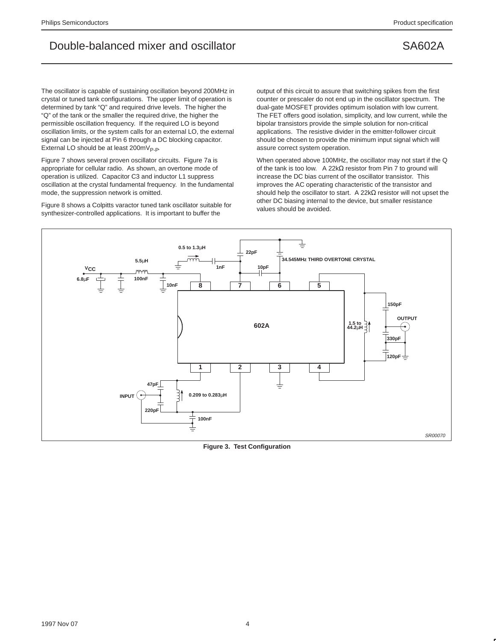The oscillator is capable of sustaining oscillation beyond 200MHz in crystal or tuned tank configurations. The upper limit of operation is determined by tank "Q" and required drive levels. The higher the "Q" of the tank or the smaller the required drive, the higher the permissible oscillation frequency. If the required LO is beyond oscillation limits, or the system calls for an external LO, the external signal can be injected at Pin 6 through a DC blocking capacitor. External LO should be at least  $200 \text{mV}_{P-P}$ .

Figure 7 shows several proven oscillator circuits. Figure 7a is appropriate for cellular radio. As shown, an overtone mode of operation is utilized. Capacitor C3 and inductor L1 suppress oscillation at the crystal fundamental frequency. In the fundamental mode, the suppression network is omitted.

Figure 8 shows a Colpitts varactor tuned tank oscillator suitable for synthesizer-controlled applications. It is important to buffer the

output of this circuit to assure that switching spikes from the first counter or prescaler do not end up in the oscillator spectrum. The dual-gate MOSFET provides optimum isolation with low current. The FET offers good isolation, simplicity, and low current, while the bipolar transistors provide the simple solution for non-critical applications. The resistive divider in the emitter-follower circuit should be chosen to provide the minimum input signal which will assure correct system operation.

When operated above 100MHz, the oscillator may not start if the Q of the tank is too low. A 22kΩ resistor from Pin 7 to ground will increase the DC bias current of the oscillator transistor. This improves the AC operating characteristic of the transistor and should help the oscillator to start. A 22kΩ resistor will not upset the other DC biasing internal to the device, but smaller resistance values should be avoided.



**Figure 3. Test Configuration**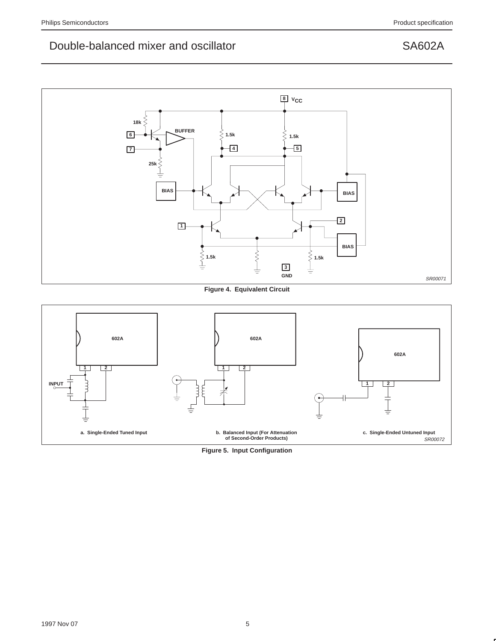

**Figure 4. Equivalent Circuit**



**Figure 5. Input Configuration**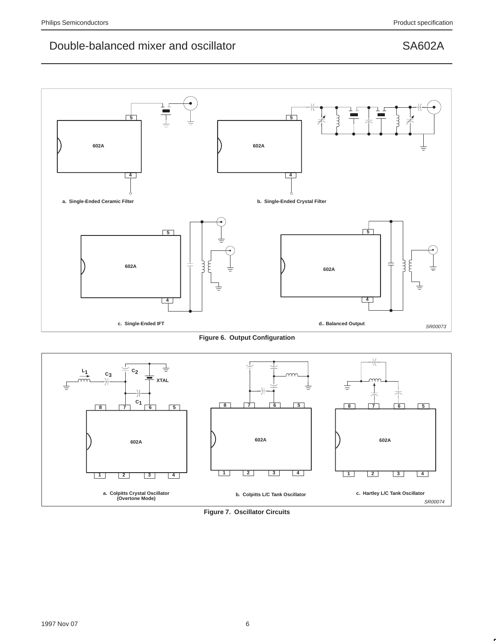

**Figure 6. Output Configuration**



**Figure 7. Oscillator Circuits**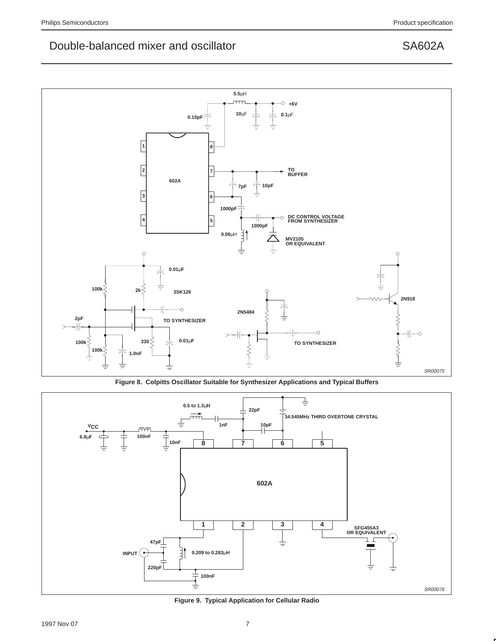

**Figure 8. Colpitts Oscillator Suitable for Synthesizer Applications and Typical Buffers**



**Figure 9. Typical Application for Cellular Radio**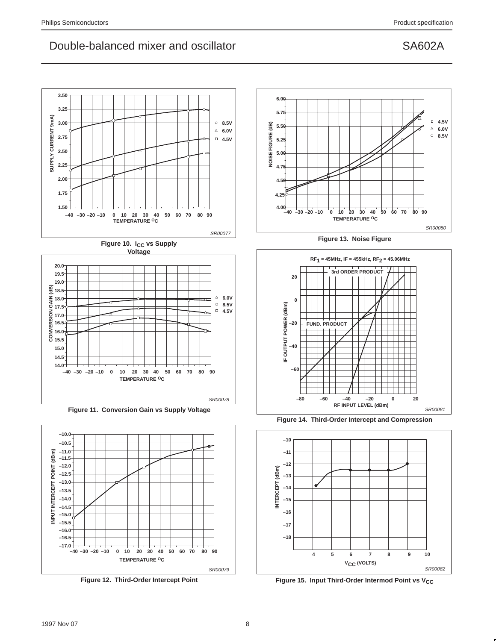



**Figure 11. Conversion Gain vs Supply Voltage**



**Figure 12. Third-Order Intercept Point**



**Figure 13. Noise Figure**



**Figure 14. Third-Order Intercept and Compression**



Figure 15. Input Third-Order Intermod Point vs V<sub>CC</sub>

**18.0 17.5**

**4.5V**  $\Delta$  6.0V **8.5V**

 $\Box$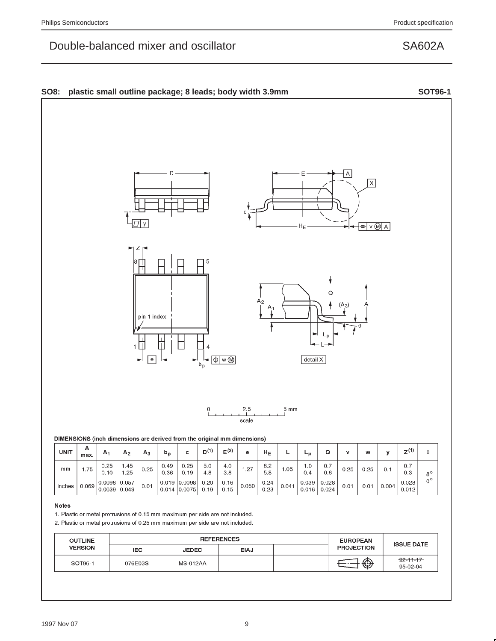## SO8: plastic small outline package; 8 leads; body width 3.9mm SOT96-1

# DIMENSIONS (inch dimensions are derived from the original mm dimensions)

| <b>UNIT</b> | A<br>max. | А,                | A <sub>2</sub> | $A_3$ | $p_{\rm p}$  |                                      | D <sup>(1)</sup> | $E^{(2)}$    | е     | Η <sub>Ε</sub> |       | – r            |                |      |      |       | (4)<br>ァい      |                |
|-------------|-----------|-------------------|----------------|-------|--------------|--------------------------------------|------------------|--------------|-------|----------------|-------|----------------|----------------|------|------|-------|----------------|----------------|
| mm          | .75       | 0.25<br>0.10      | .45<br>.25     | 0.25  | 0.49<br>0.36 | 0.25<br>0.19                         | 5.0<br>4.8       | 4.0<br>3.8   | .27   | 6.2<br>5.8     | l.05  | 0.1<br>0.4     | 0.7<br>0.6     | 0.25 | 0.25 |       | 0.7<br>0.3     | 8 <sup>c</sup> |
| inches      | 0.069     | 0.0098 <br>0.0039 | 0.057<br>0.049 | 0.01  |              | $0.019$ 0.0098<br>$0.014$ $ 0.0075 $ | 0.20<br>0.19     | 0.16<br>0.15 | 0.050 | 0.24<br>0.23   | 0.041 | 0.039<br>0.016 | 0.028<br>0.024 | 0.01 | 0.01 | 0.004 | 0.028<br>0.012 | $^{\circ}$     |

 $2.5$ 

scale

### **Notes**

1. Plastic or metal protrusions of 0.15 mm maximum per side are not included.

2. Plastic or metal protrusions of 0.25 mm maximum per side are not included.

| <b>OUTLINE</b> |         | <b>REFERENCES</b> | <b>EUROPEAN</b> | <b>ISSUE DATE</b> |                   |                             |
|----------------|---------|-------------------|-----------------|-------------------|-------------------|-----------------------------|
| <b>VERSION</b> | IEC.    | <b>JEDEC</b>      | EIAJ            |                   | <b>PROJECTION</b> |                             |
| SOT96-1        | 076E03S | <b>MS-012AA</b>   |                 |                   | ⊕                 | $-92 - 11 - 17$<br>95-02-04 |

| pin 1 index $\frac{1}{1}$ | ۳ |
|---------------------------|---|
| 4<br>1<br>е<br>W<br>$b_p$ |   |
|                           |   |

 $\Omega$ 







 $5 \text{ mm}$ 

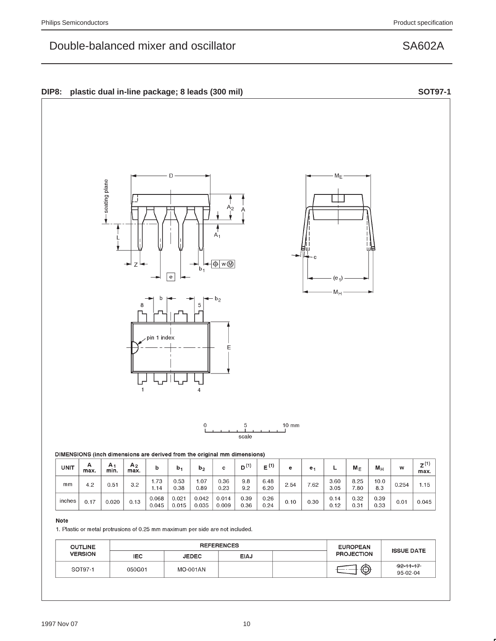

| <b>UNIT</b> | А<br>max. | A<br>min. | A <sub>2</sub><br>max. | b              | b٠             | b <sub>2</sub> |                | D <sup>(1)</sup> | (1)          | е    | е.   | –            | $M_E$        | $M_H$        | w     | $Z^{(1)}$<br>max. |
|-------------|-----------|-----------|------------------------|----------------|----------------|----------------|----------------|------------------|--------------|------|------|--------------|--------------|--------------|-------|-------------------|
| mm          | 4.2       | 0.51      | 3.2                    | 1.73<br>ـ 14،  | 0.53<br>0.38   | .07<br>0.89    | 0.36<br>0.23   | 9.8<br>9.2       | 6.48<br>6.20 | 2.54 | 7.62 | 3.60<br>3.05 | 8.25<br>7.80 | 10.0<br>8.3  | 0.254 | 1.15              |
| inches      | 0.17      | 0.020     | 0.13                   | 0.068<br>0.045 | 0.021<br>0.015 | 0.042<br>0.035 | 0.014<br>0.009 | 0.39<br>0.36     | 0.26<br>0.24 | 0.10 | 0.30 | 0.14<br>0.12 | 0.32<br>0.31 | 0.39<br>0.33 | 0.01  | 0.045             |

## Note

1. Plastic or metal protrusions of 0.25 mm maximum per side are not included.

| <b>OUTLINE</b> |        | <b>REFERENCES</b> | <b>EUROPEAN</b> | <b>ISSUE DATE</b> |                   |                             |
|----------------|--------|-------------------|-----------------|-------------------|-------------------|-----------------------------|
| <b>VERSION</b> | IEC.   | <b>JEDEC</b>      | <b>EIAJ</b>     |                   | <b>PROJECTION</b> |                             |
| SOT97-1        | 050G01 | MO-001AN          |                 |                   | $\bigcirc$        | $-92 - 11 - 17$<br>95-02-04 |